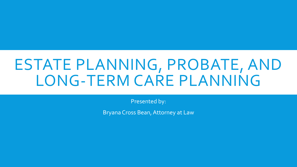## ESTATE PLANNING, PROBATE, AND LONG-TERM CARE PLANNING

Presented by:

Bryana Cross Bean, Attorney at Law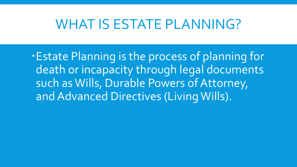#### WHAT IS ESTATE PLANNING?

Estate Planning is the process of planning for death or incapacity through legal documents such as Wills, Durable Powers of Attorney, and Advanced Directives (Living Wills).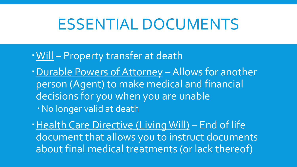### ESSENTIAL DOCUMENTS

- Will Property transfer at death
- Durable Powers of Attorney Allows for another person (Agent) to make medical and financial decisions for you when you are unable No longer valid at death

Health Care Directive (Living Will) - End of life document that allows you to instruct documents about final medical treatments (or lack thereof)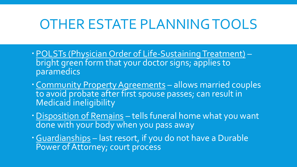#### OTHER ESTATE PLANNING TOOLS

- POLSTs (Physician Order of Life-Sustaining Treatment) bright green form that your doctor signs; applies to paramedics
- Community Property Agreements allows married couples to avoid probate after first spouse passes; can result in Medicaid ineligibility
- Disposition of Remains tells funeral home what you want done with your body when you pass away
- Guardianships last resort, if you do not have a Durable Power of Attorney; court process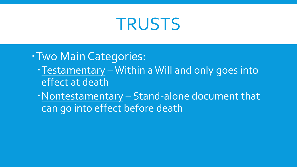## TRUSTS

Two Main Categories:

- Testamentary Within a Will and only goes into effect at death
- Nontestamentary Stand-alone document that can go into effect before death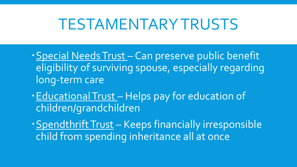### TESTAMENTARY TRUSTS

- Special Needs Trust Can preserve public benefit eligibility of surviving spouse, especially regarding long-term care
- Educational Trust Helps pay for education of children/grandchildren
- · Spendthrift Trust Keeps financially irresponsible child from spending inheritance all at once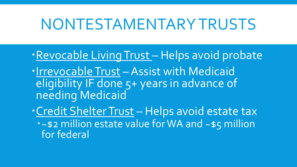## NONTESTAMENTARYTRUSTS

- Revocable Living Trust Helps avoid probate . Irrevocable Trust - Assist with Medicaid eligibility IF done 5+ years in advance of needing Medicaid Credit Shelter Trust – Helps avoid estate tax
	- ~\$2 million estate value for WA and ~\$5 million for federal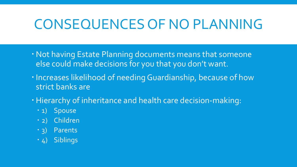#### CONSEQUENCES OF NO PLANNING

- Not having Estate Planning documents means that someone else could make decisions for you that you don't want.
- **· Increases likelihood of needing Guardianship, because of how** strict banks are
- Hierarchy of inheritance and health care decision-making:
	- 1) Spouse
	- 2) Children
	- 3) Parents
	- 4) Siblings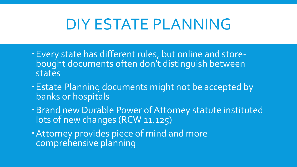## DIY ESTATE PLANNING

- Every state has different rules, but online and storebought documents often don't distinguish between states
- Estate Planning documents might not be accepted by banks or hospitals
- Brand new Durable Power of Attorney statute instituted lots of new changes (RCW 11.125)
- Attorney provides piece of mind and more comprehensive planning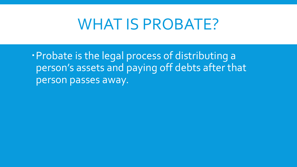#### WHAT IS PROBATE?

Probate is the legal process of distributing a person's assets and paying off debts after that person passes away.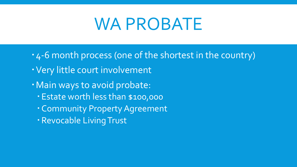# WA PROBATE

- 4-6 month process (one of the shortest in the country)
- Very little court involvement
- · Main ways to avoid probate:
	- Estate worth less than \$100,000
	- Community Property Agreement
	- Revocable Living Trust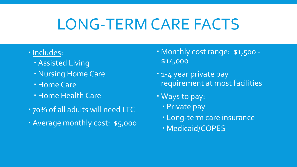## LONG-TERM CARE FACTS

- · Includes:
	- Assisted Living
	- Nursing Home Care
	- Home Care
	- Home Health Care
- 70% of all adults will need LTC
- Average monthly cost: \$5,000
- Monthly cost range: \$1,500 -\$14,000
- 1-4 year private pay requirement at most facilities
- Ways to pay:
	- Private pay
	- Long-term care insurance
	- Medicaid/COPES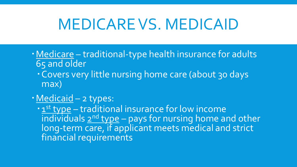## MEDICARE VS. MEDICAID

- Medicare traditional-type health insurance for adults 65 and older
	- Covers very little nursing home care (about 30 days max)
- Medicaid 2 types:

· 1<sup>st</sup> type – traditional insurance for low income individuals  $2^{nd}$  type – pays for nursing home and other long-term care, if applicant meets medical and strict financial requirements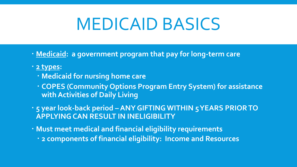# MEDICAID BASICS

- **Medicaid: a government program that pay for long-term care**
- **2 types:**
	- **Medicaid for nursing home care**
	- **COPES (Community Options Program Entry System) for assistance with Activities of Daily Living**
- **5 year look-back period – ANY GIFTING WITHIN 5 YEARS PRIOR TO APPLYING CAN RESULT IN INELIGIBILITY**
- **Must meet medical and financial eligibility requirements**
	- **2 components of financial eligibility: Income and Resources**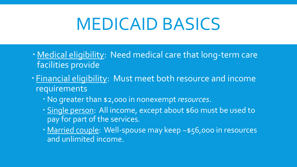# MEDICAID BASICS

- Medical eligibility: Need medical care that long-term care facilities provide
- Financial eligibility: Must meet both resource and income requirements
	- No greater than \$2,000 in nonexempt *resources*.
	- Single person: All income, except about \$60 must be used to pay for part of the services.
	- Married couple: Well-spouse may keep ~\$56,000 in resources and unlimited income.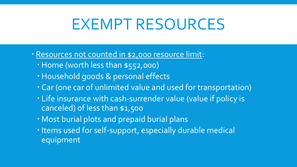## EXEMPT RESOURCES

- Resources not counted in \$2,000 resource limit:
	- Home (worth less than \$552,000)
	- Household goods & personal effects
	- Car (one car of unlimited value and used for transportation)
	- Life insurance with cash-surrender value (value if policy is canceled) of less than \$1,500
	- Most burial plots and prepaid burial plans
	- . Items used for self-support, especially durable medical equipment